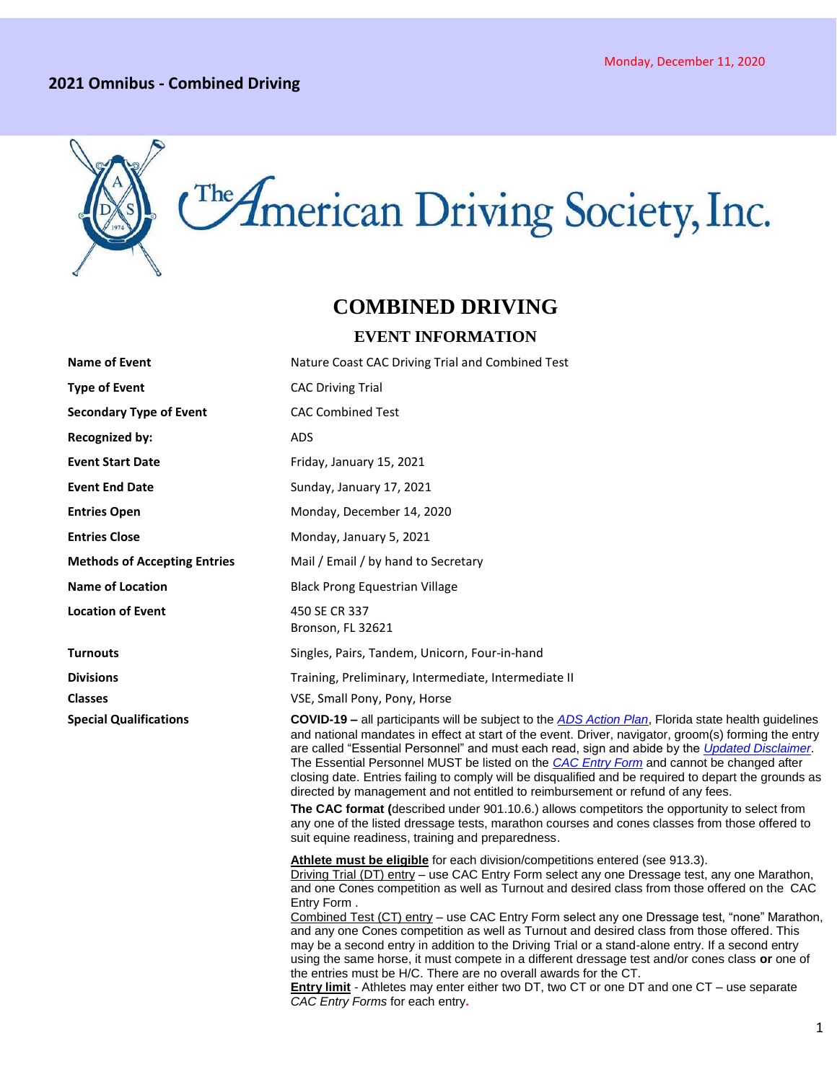#### **2021 Omnibus - Combined Driving**



# **COMBINED DRIVING**

#### **EVENT INFORMATION**

| <b>Name of Event</b>                | Nature Coast CAC Driving Trial and Combined Test                                                                                                                                                                                                                                                                                                                                                                                                                                                                                                                                                                                                                                                                                                                                                                                                                                                        |
|-------------------------------------|---------------------------------------------------------------------------------------------------------------------------------------------------------------------------------------------------------------------------------------------------------------------------------------------------------------------------------------------------------------------------------------------------------------------------------------------------------------------------------------------------------------------------------------------------------------------------------------------------------------------------------------------------------------------------------------------------------------------------------------------------------------------------------------------------------------------------------------------------------------------------------------------------------|
| <b>Type of Event</b>                | <b>CAC Driving Trial</b>                                                                                                                                                                                                                                                                                                                                                                                                                                                                                                                                                                                                                                                                                                                                                                                                                                                                                |
| <b>Secondary Type of Event</b>      | <b>CAC Combined Test</b>                                                                                                                                                                                                                                                                                                                                                                                                                                                                                                                                                                                                                                                                                                                                                                                                                                                                                |
| <b>Recognized by:</b>               | ADS                                                                                                                                                                                                                                                                                                                                                                                                                                                                                                                                                                                                                                                                                                                                                                                                                                                                                                     |
| <b>Event Start Date</b>             | Friday, January 15, 2021                                                                                                                                                                                                                                                                                                                                                                                                                                                                                                                                                                                                                                                                                                                                                                                                                                                                                |
| <b>Event End Date</b>               | Sunday, January 17, 2021                                                                                                                                                                                                                                                                                                                                                                                                                                                                                                                                                                                                                                                                                                                                                                                                                                                                                |
| <b>Entries Open</b>                 | Monday, December 14, 2020                                                                                                                                                                                                                                                                                                                                                                                                                                                                                                                                                                                                                                                                                                                                                                                                                                                                               |
| <b>Entries Close</b>                | Monday, January 5, 2021                                                                                                                                                                                                                                                                                                                                                                                                                                                                                                                                                                                                                                                                                                                                                                                                                                                                                 |
| <b>Methods of Accepting Entries</b> | Mail / Email / by hand to Secretary                                                                                                                                                                                                                                                                                                                                                                                                                                                                                                                                                                                                                                                                                                                                                                                                                                                                     |
| <b>Name of Location</b>             | <b>Black Prong Equestrian Village</b>                                                                                                                                                                                                                                                                                                                                                                                                                                                                                                                                                                                                                                                                                                                                                                                                                                                                   |
| <b>Location of Event</b>            | 450 SE CR 337<br>Bronson, FL 32621                                                                                                                                                                                                                                                                                                                                                                                                                                                                                                                                                                                                                                                                                                                                                                                                                                                                      |
| <b>Turnouts</b>                     | Singles, Pairs, Tandem, Unicorn, Four-in-hand                                                                                                                                                                                                                                                                                                                                                                                                                                                                                                                                                                                                                                                                                                                                                                                                                                                           |
| <b>Divisions</b>                    | Training, Preliminary, Intermediate, Intermediate II                                                                                                                                                                                                                                                                                                                                                                                                                                                                                                                                                                                                                                                                                                                                                                                                                                                    |
| <b>Classes</b>                      | VSE, Small Pony, Pony, Horse                                                                                                                                                                                                                                                                                                                                                                                                                                                                                                                                                                                                                                                                                                                                                                                                                                                                            |
| <b>Special Qualifications</b>       | <b>COVID-19 –</b> all participants will be subject to the ADS Action Plan, Florida state health guidelines<br>and national mandates in effect at start of the event. Driver, navigator, groom(s) forming the entry<br>are called "Essential Personnel" and must each read, sign and abide by the <i>Updated Disclaimer</i> .<br>The Essential Personnel MUST be listed on the CAC Entry Form and cannot be changed after<br>closing date. Entries failing to comply will be disqualified and be required to depart the grounds as<br>directed by management and not entitled to reimbursement or refund of any fees.                                                                                                                                                                                                                                                                                    |
|                                     | The CAC format (described under 901.10.6.) allows competitors the opportunity to select from<br>any one of the listed dressage tests, marathon courses and cones classes from those offered to<br>suit equine readiness, training and preparedness.                                                                                                                                                                                                                                                                                                                                                                                                                                                                                                                                                                                                                                                     |
|                                     | Athlete must be eligible for each division/competitions entered (see 913.3).<br>Driving Trial (DT) entry - use CAC Entry Form select any one Dressage test, any one Marathon,<br>and one Cones competition as well as Turnout and desired class from those offered on the CAC<br>Entry Form.<br>Combined Test (CT) entry - use CAC Entry Form select any one Dressage test, "none" Marathon,<br>and any one Cones competition as well as Turnout and desired class from those offered. This<br>may be a second entry in addition to the Driving Trial or a stand-alone entry. If a second entry<br>using the same horse, it must compete in a different dressage test and/or cones class or one of<br>the entries must be H/C. There are no overall awards for the CT.<br>Entry limit - Athletes may enter either two DT, two CT or one DT and one CT - use separate<br>CAC Entry Forms for each entry. |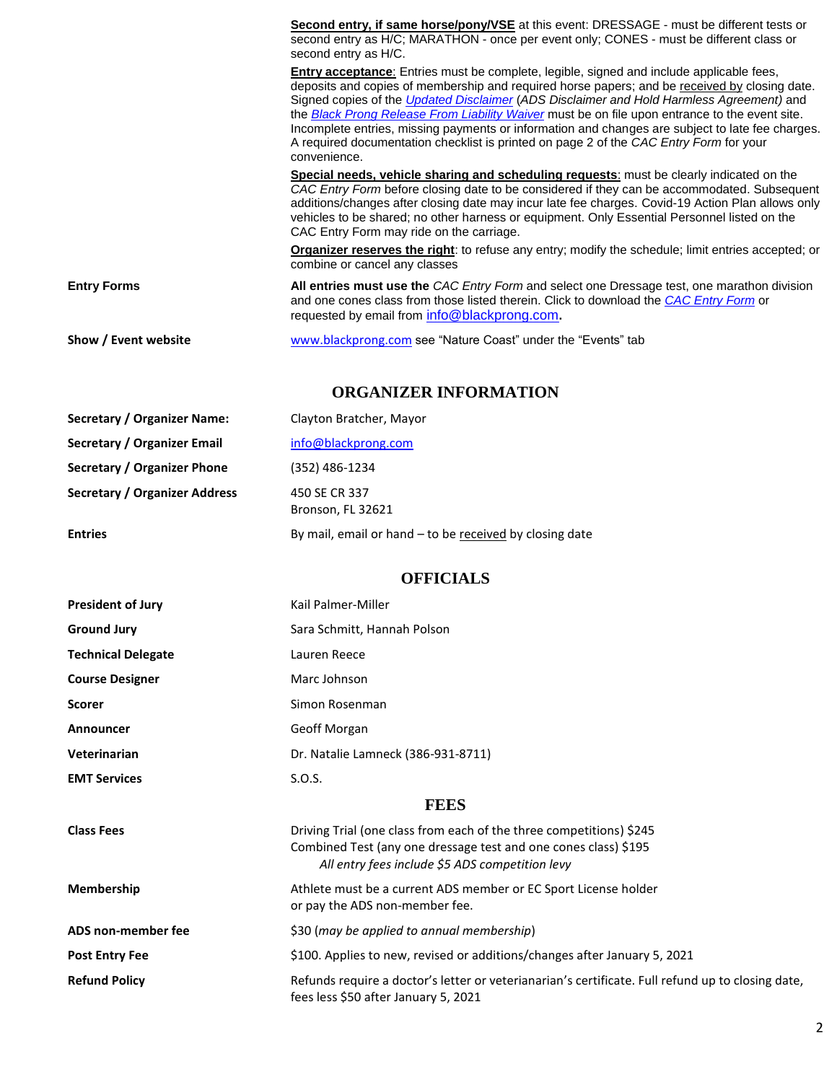|                      | <b>Second entry, if same horse/pony/VSE</b> at this event: DRESSAGE - must be different tests or<br>second entry as H/C; MARATHON - once per event only; CONES - must be different class or<br>second entry as H/C.                                                                                                                                                                                                                                                                                                                                                                                                  |
|----------------------|----------------------------------------------------------------------------------------------------------------------------------------------------------------------------------------------------------------------------------------------------------------------------------------------------------------------------------------------------------------------------------------------------------------------------------------------------------------------------------------------------------------------------------------------------------------------------------------------------------------------|
|                      | <b>Entry acceptance</b> : Entries must be complete, legible, signed and include applicable fees,<br>deposits and copies of membership and required horse papers; and be received by closing date.<br>Signed copies of the <i>Updated Disclaimer</i> (ADS Disclaimer and Hold Harmless Agreement) and<br>the Black Prong Release From Liability Waiver must be on file upon entrance to the event site.<br>Incomplete entries, missing payments or information and changes are subject to late fee charges.<br>A required documentation checklist is printed on page 2 of the CAC Entry Form for your<br>convenience. |
|                      | Special needs, vehicle sharing and scheduling requests: must be clearly indicated on the<br>CAC Entry Form before closing date to be considered if they can be accommodated. Subsequent<br>additions/changes after closing date may incur late fee charges. Covid-19 Action Plan allows only<br>vehicles to be shared; no other harness or equipment. Only Essential Personnel listed on the<br>CAC Entry Form may ride on the carriage.                                                                                                                                                                             |
|                      | <b>Organizer reserves the right:</b> to refuse any entry; modify the schedule; limit entries accepted; or<br>combine or cancel any classes                                                                                                                                                                                                                                                                                                                                                                                                                                                                           |
| <b>Entry Forms</b>   | All entries must use the CAC Entry Form and select one Dressage test, one marathon division<br>and one cones class from those listed therein. Click to download the CAC Entry Form or<br>requested by email from info@blackprong.com.                                                                                                                                                                                                                                                                                                                                                                                |
| Show / Event website | www.blackprong.com see "Nature Coast" under the "Events" tab                                                                                                                                                                                                                                                                                                                                                                                                                                                                                                                                                         |

## **ORGANIZER INFORMATION**

| <b>Secretary / Organizer Name:</b>   | Clayton Bratcher, Mayor                                 |
|--------------------------------------|---------------------------------------------------------|
| Secretary / Organizer Email          | info@blackprong.com                                     |
| Secretary / Organizer Phone          | (352) 486-1234                                          |
| <b>Secretary / Organizer Address</b> | 450 SE CR 337<br>Bronson, FL 32621                      |
| <b>Entries</b>                       | By mail, email or hand - to be received by closing date |

# **OFFICIALS**

| <b>President of Jury</b>  | Kail Palmer-Miller                                                                                                                                                                        |
|---------------------------|-------------------------------------------------------------------------------------------------------------------------------------------------------------------------------------------|
| <b>Ground Jury</b>        | Sara Schmitt, Hannah Polson                                                                                                                                                               |
| <b>Technical Delegate</b> | Lauren Reece                                                                                                                                                                              |
| <b>Course Designer</b>    | Marc Johnson                                                                                                                                                                              |
| <b>Scorer</b>             | Simon Rosenman                                                                                                                                                                            |
| Announcer                 | Geoff Morgan                                                                                                                                                                              |
| Veterinarian              | Dr. Natalie Lamneck (386-931-8711)                                                                                                                                                        |
| <b>EMT Services</b>       | S.0.S.                                                                                                                                                                                    |
|                           | <b>FEES</b>                                                                                                                                                                               |
| <b>Class Fees</b>         | Driving Trial (one class from each of the three competitions) \$245<br>Combined Test (any one dressage test and one cones class) \$195<br>All entry fees include \$5 ADS competition levy |
| <b>Membership</b>         | Athlete must be a current ADS member or EC Sport License holder<br>or pay the ADS non-member fee.                                                                                         |
| ADS non-member fee        | \$30 (may be applied to annual membership)                                                                                                                                                |
| <b>Post Entry Fee</b>     | \$100. Applies to new, revised or additions/changes after January 5, 2021                                                                                                                 |
| <b>Refund Policy</b>      | Refunds require a doctor's letter or veterianarian's certificate. Full refund up to closing date,<br>fees less \$50 after January 5, 2021                                                 |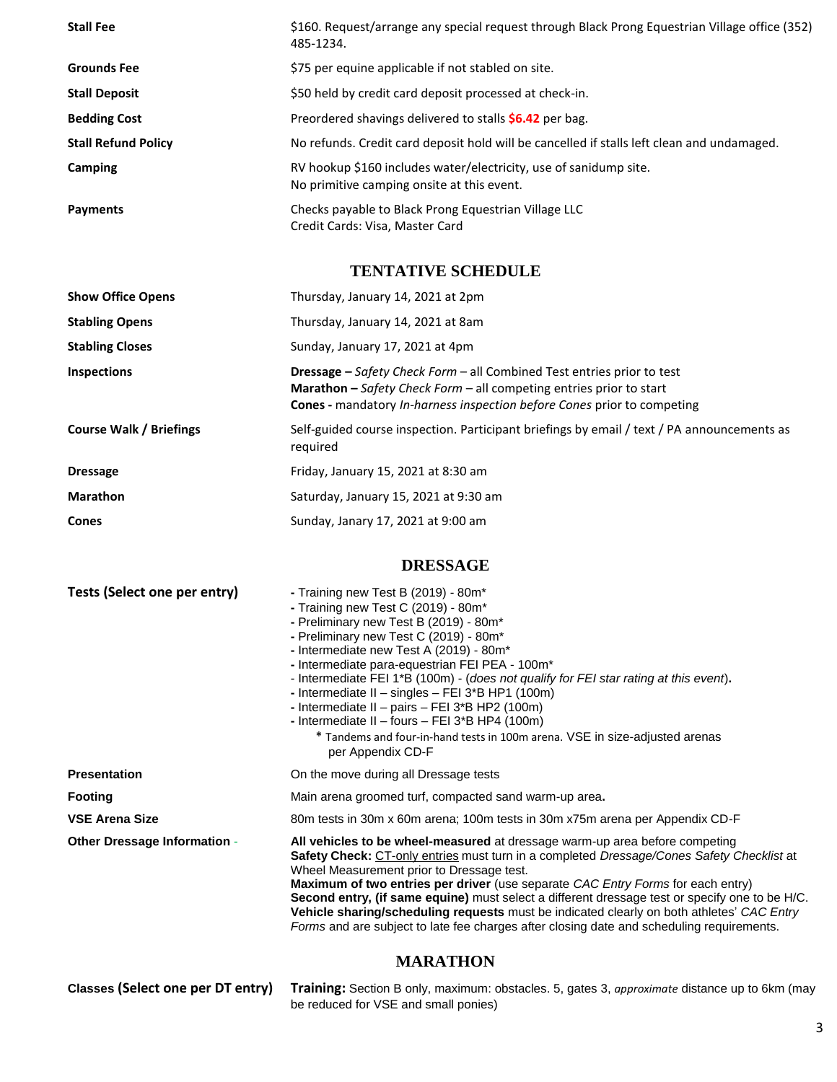| <b>Stall Fee</b>           | \$160. Request/arrange any special request through Black Prong Equestrian Village office (352)<br>485-1234.     |
|----------------------------|-----------------------------------------------------------------------------------------------------------------|
| <b>Grounds Fee</b>         | \$75 per equine applicable if not stabled on site.                                                              |
| <b>Stall Deposit</b>       | \$50 held by credit card deposit processed at check-in.                                                         |
| <b>Bedding Cost</b>        | Preordered shavings delivered to stalls <b>\$6.42</b> per bag.                                                  |
| <b>Stall Refund Policy</b> | No refunds. Credit card deposit hold will be cancelled if stalls left clean and undamaged.                      |
| Camping                    | RV hookup \$160 includes water/electricity, use of sanidump site.<br>No primitive camping onsite at this event. |
| Payments                   | Checks payable to Black Prong Equestrian Village LLC<br>Credit Cards: Visa, Master Card                         |

# **TENTATIVE SCHEDULE**

| <b>Show Office Opens</b>       | Thursday, January 14, 2021 at 2pm                                                                                                                                                                                                                    |
|--------------------------------|------------------------------------------------------------------------------------------------------------------------------------------------------------------------------------------------------------------------------------------------------|
| <b>Stabling Opens</b>          | Thursday, January 14, 2021 at 8am                                                                                                                                                                                                                    |
| <b>Stabling Closes</b>         | Sunday, January 17, 2021 at 4pm                                                                                                                                                                                                                      |
| <b>Inspections</b>             | <b>Dressage</b> – Safety Check Form – all Combined Test entries prior to test<br><b>Marathon</b> – Safety Check Form – all competing entries prior to start<br><b>Cones</b> - mandatory <i>In-harness inspection before Cones</i> prior to competing |
| <b>Course Walk / Briefings</b> | Self-guided course inspection. Participant briefings by email / text / PA announcements as<br>required                                                                                                                                               |
| <b>Dressage</b>                | Friday, January 15, 2021 at 8:30 am                                                                                                                                                                                                                  |
| <b>Marathon</b>                | Saturday, January 15, 2021 at 9:30 am                                                                                                                                                                                                                |
| <b>Cones</b>                   | Sunday, Janary 17, 2021 at 9:00 am                                                                                                                                                                                                                   |

## **DRESSAGE**

| Tests (Select one per entry)        | - Training new Test B (2019) - 80m*<br>- Training new Test C (2019) - 80m*<br>- Preliminary new Test B (2019) - 80m*<br>- Preliminary new Test C (2019) - 80m*<br>- Intermediate new Test A (2019) - 80m*<br>- Intermediate para-equestrian FEI PEA - 100m <sup>*</sup><br>- Intermediate FEI 1 <sup>*</sup> B (100m) - (does not qualify for FEI star rating at this event).<br>- Intermediate II - singles - FEI 3*B HP1 (100m)<br>- Intermediate II - pairs - FEI 3*B HP2 (100m)<br>- Intermediate II - fours - FEI 3*B HP4 (100m)<br>* Tandems and four-in-hand tests in 100m arena. VSE in size-adjusted arenas<br>per Appendix CD-F |
|-------------------------------------|-------------------------------------------------------------------------------------------------------------------------------------------------------------------------------------------------------------------------------------------------------------------------------------------------------------------------------------------------------------------------------------------------------------------------------------------------------------------------------------------------------------------------------------------------------------------------------------------------------------------------------------------|
| <b>Presentation</b>                 | On the move during all Dressage tests                                                                                                                                                                                                                                                                                                                                                                                                                                                                                                                                                                                                     |
| Footing                             | Main arena groomed turf, compacted sand warm-up area.                                                                                                                                                                                                                                                                                                                                                                                                                                                                                                                                                                                     |
| <b>VSE Arena Size</b>               | 80m tests in 30m x 60m arena; 100m tests in 30m x75m arena per Appendix CD-F                                                                                                                                                                                                                                                                                                                                                                                                                                                                                                                                                              |
| <b>Other Dressage Information -</b> | All vehicles to be wheel-measured at dressage warm-up area before competing<br>Safety Check: CT-only entries must turn in a completed Dressage/Cones Safety Checklist at<br>Wheel Measurement prior to Dressage test.<br>Maximum of two entries per driver (use separate CAC Entry Forms for each entry)<br>Second entry, (if same equine) must select a different dressage test or specify one to be H/C.<br><b>Vehicle sharing/scheduling requests</b> must be indicated clearly on both athletes' CAC Entry<br>Forms and are subject to late fee charges after closing date and scheduling requirements.                               |
|                                     | <b>MAIN AMTTONI</b>                                                                                                                                                                                                                                                                                                                                                                                                                                                                                                                                                                                                                       |

### **MARATHON**

| Classes (Select one per DT entry) Training: Section B only, maximum: obstacles. 5, gates 3, approximate distance up to 6km (may |
|---------------------------------------------------------------------------------------------------------------------------------|
| be reduced for VSE and small ponies)                                                                                            |